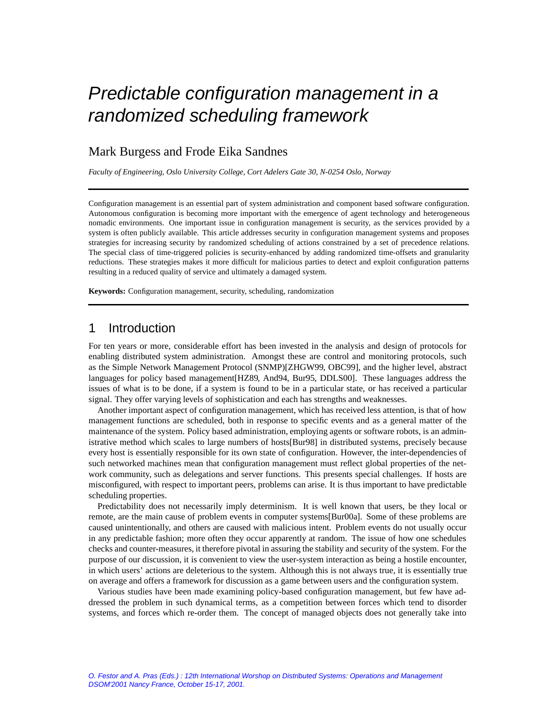# Predictable configuration management in a randomized scheduling framework

## Mark Burgess and Frode Eika Sandnes

*Faculty of Engineering, Oslo University College, Cort Adelers Gate 30, N-0254 Oslo, Norway*

Configuration management is an essential part of system administration and component based software configuration. Autonomous configuration is becoming more important with the emergence of agent technology and heterogeneous nomadic environments. One important issue in configuration management is security, as the services provided by a system is often publicly available. This article addresses security in configuration management systems and proposes strategies for increasing security by randomized scheduling of actions constrained by a set of precedence relations. The special class of time-triggered policies is security-enhanced by adding randomized time-offsets and granularity reductions. These strategies makes it more difficult for malicious parties to detect and exploit configuration patterns resulting in a reduced quality of service and ultimately a damaged system.

**Keywords:** Configuration management, security, scheduling, randomization

### 1 Introduction

For ten years or more, considerable effort has been invested in the analysis and design of protocols for enabling distributed system administration. Amongst these are control and monitoring protocols, such as the Simple Network Management Protocol (SNMP)[ZHGW99, OBC99], and the higher level, abstract languages for policy based management[HZ89, And94, Bur95, DDLS00]. These languages address the issues of what is to be done, if a system is found to be in a particular state, or has received a particular signal. They offer varying levels of sophistication and each has strengths and weaknesses.

Another important aspect of configuration management, which has received less attention, is that of how management functions are scheduled, both in response to specific events and as a general matter of the maintenance of the system. Policy based administration, employing agents or software robots, is an administrative method which scales to large numbers of hosts[Bur98] in distributed systems, precisely because every host is essentially responsible for its own state of configuration. However, the inter-dependencies of such networked machines mean that configuration management must reflect global properties of the network community, such as delegations and server functions. This presents special challenges. If hosts are misconfigured, with respect to important peers, problems can arise. It is thus important to have predictable scheduling properties.

Predictability does not necessarily imply determinism. It is well known that users, be they local or remote, are the main cause of problem events in computer systems[Bur00a]. Some of these problems are caused unintentionally, and others are caused with malicious intent. Problem events do not usually occur in any predictable fashion; more often they occur apparently at random. The issue of how one schedules checks and counter-measures, it therefore pivotal in assuring the stability and security of the system. For the purpose of our discussion, it is convenient to view the user-system interaction as being a hostile encounter, in which users' actions are deleterious to the system. Although this is not always true, it is essentially true on average and offers a framework for discussion as a game between users and the configuration system.

Various studies have been made examining policy-based configuration management, but few have addressed the problem in such dynamical terms, as a competition between forces which tend to disorder systems, and forces which re-order them. The concept of managed objects does not generally take into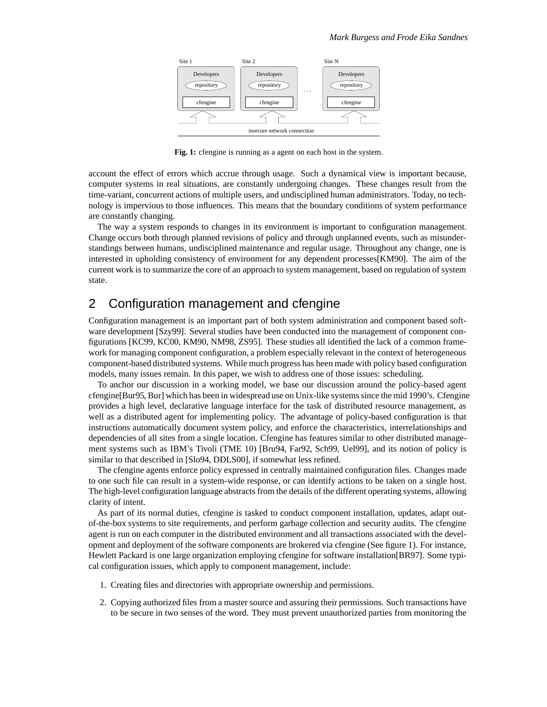

**Fig. 1:** cfengine is running as a agent on each host in the system.

account the effect of errors which accrue through usage. Such a dynamical view is important because, computer systems in real situations, are constantly undergoing changes. These changes result from the time-variant, concurrent actions of multiple users, and undisciplined human administrators. Today, no technology is impervious to those influences. This means that the boundary conditions of system performance are constantly changing.

The way a system responds to changes in its environment is important to configuration management. Change occurs both through planned revisions of policy and through unplanned events, such as misunderstandings between humans, undisciplined maintenance and regular usage. Throughout any change, one is interested in upholding consistency of environment for any dependent processes [KM90]. The aim of the current work is to summarize the core of an approach to system management, based on regulation of system state.

## 2 Configuration management and cfengine

Configuration management is an important part of both system administration and component based software development [Szy99]. Several studies have been conducted into the management of component configurations [KC99, KC00, KM90, NM98, ZS95]. These studies all identified the lack of a common framework for managing component configuration, a problem especially relevant in the context of heterogeneous component-based distributed systems. While much progress has been made with policy based configuration models, many issues remain. In this paper, we wish to address one of those issues: scheduling.

To anchor our discussion in a working model, we base our discussion around the policy-based agent cfengine[Bur95, Bur] which has been in widespread use on Unix-like systems since the mid 1990's. Cfengine provides a high level, declarative language interface for the task of distributed resource management, as well as a distributed agent for implementing policy. The advantage of policy-based configuration is that instructions automatically document system policy, and enforce the characteristics, interrelationships and dependencies of all sites from a single location. Cfengine has features similar to other distributed management systems such as IBM's Tivoli (TME 10) [Bru94, Far92, Sch99, Uel99], and its notion of policy is similar to that described in [Slo94, DDLS00], if somewhat less refined.

The cfengine agents enforce policy expressed in centrally maintained configuration files. Changes made to one such file can result in a system-wide response, or can identify actions to be taken on a single host. The high-level configuration language abstracts from the details of the different operating systems, allowing clarity of intent.

As part of its normal duties, cfengine is tasked to conduct component installation, updates, adapt outof-the-box systems to site requirements, and perform garbage collection and security audits. The cfengine agent is run on each computer in the distributed environment and all transactions associated with the development and deployment of the software components are brokered via cfengine (See figure 1). For instance, Hewlett Packard is one large organization employing cfengine for software installation[BR97]. Some typical configuration issues, which apply to component management, include:

- 1. Creating files and directories with appropriate ownership and permissions.
- 2. Copying authorized files from a master source and assuring their permissions. Such transactions have to be secure in two senses of the word. They must prevent unauthorized parties from monitoring the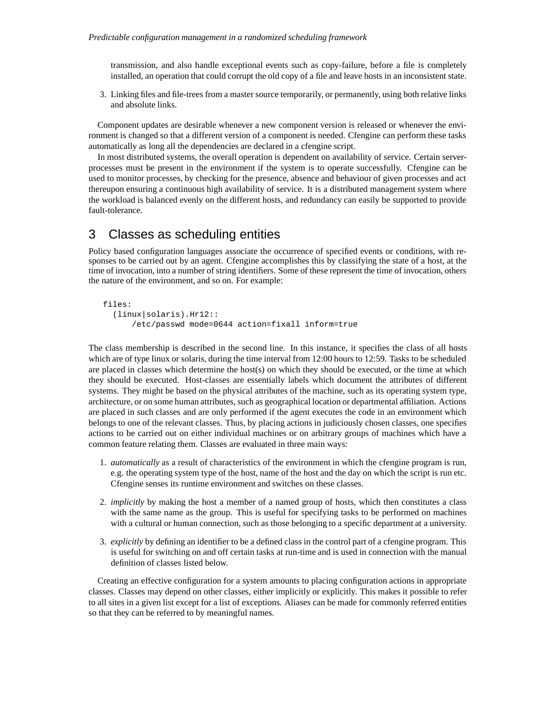transmission, and also handle exceptional events such as copy-failure, before a file is completely installed, an operation that could corrupt the old copy of a file and leave hosts in an inconsistent state.

3. Linking files and file-trees from a master source temporarily, or permanently, using both relative links and absolute links.

Component updates are desirable whenever a new component version is released or whenever the environment is changed so that a different version of a component is needed. Cfengine can perform these tasks automatically as long all the dependencies are declared in a cfengine script.

In most distributed systems, the overall operation is dependent on availability of service. Certain serverprocesses must be present in the environment if the system is to operate successfully. Cfengine can be used to monitor processes, by checking for the presence, absence and behaviour of given processes and act thereupon ensuring a continuous high availability of service. It is a distributed management system where the workload is balanced evenly on the different hosts, and redundancy can easily be supported to provide fault-tolerance.

## 3 Classes as scheduling entities

Policy based configuration languages associate the occurrence of specified events or conditions, with responses to be carried out by an agent. Cfengine accomplishes this by classifying the state of a host, at the time of invocation, into a number of string identifiers. Some of these represent the time of invocation, others the nature of the environment, and so on. For example:

```
files:
  (linux|solaris).Hr12::
      /etc/passwd mode=0644 action=fixall inform=true
```
The class membership is described in the second line. In this instance, it specifies the class of all hosts which are of type linux or solaris, during the time interval from 12:00 hours to 12:59. Tasks to be scheduled are placed in classes which determine the host(s) on which they should be executed, or the time at which they should be executed. Host-classes are essentially labels which document the attributes of different systems. They might be based on the physical attributes of the machine, such as its operating system type, architecture, or on some human attributes, such as geographical location or departmental affiliation. Actions are placed in such classes and are only performed if the agent executes the code in an environment which belongs to one of the relevant classes. Thus, by placing actions in judiciously chosen classes, one specifies actions to be carried out on either individual machines or on arbitrary groups of machines which have a common feature relating them. Classes are evaluated in three main ways:

- 1. *automatically* as a result of characteristics of the environment in which the cfengine program is run, e.g. the operating system type of the host, name of the host and the day on which the script is run etc. Cfengine senses its runtime environment and switches on these classes.
- 2. *implicitly* by making the host a member of a named group of hosts, which then constitutes a class with the same name as the group. This is useful for specifying tasks to be performed on machines with a cultural or human connection, such as those belonging to a specific department at a university.
- 3. *explicitly* by defining an identifier to be a defined class in the control part of a cfengine program. This is useful for switching on and off certain tasks at run-time and is used in connection with the manual definition of classes listed below.

Creating an effective configuration for a system amounts to placing configuration actions in appropriate classes. Classes may depend on other classes, either implicitly or explicitly. This makes it possible to refer to all sites in a given list except for a list of exceptions. Aliases can be made for commonly referred entities so that they can be referred to by meaningful names.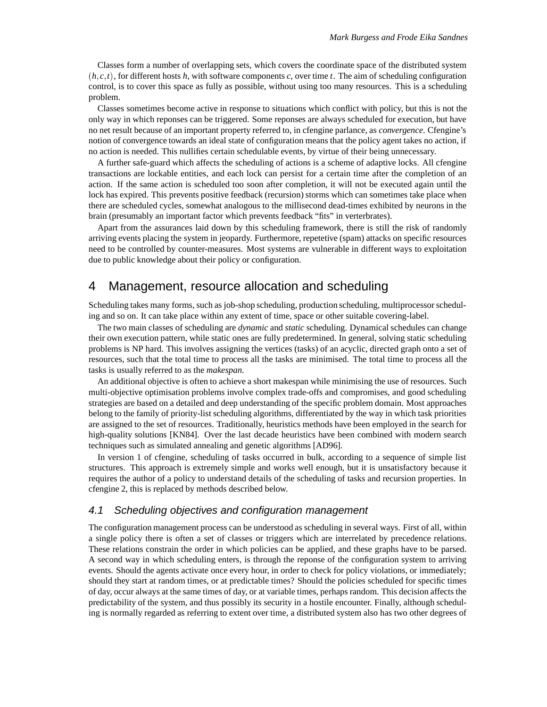Classes form a number of overlapping sets, which covers the coordinate space of the distributed system  $(h, c, t)$ , for different hosts *h*, with software components *c*, over time *t*. The aim of scheduling configuration control, is to cover this space as fully as possible, without using too many resources. This is a scheduling problem.

Classes sometimes become active in response to situations which conflict with policy, but this is not the only way in which reponses can be triggered. Some reponses are always scheduled for execution, but have no net result because of an important property referred to, in cfengine parlance, as *convergence*. Cfengine's notion of convergence towards an ideal state of configuration means that the policy agent takes no action, if no action is needed. This nullifies certain schedulable events, by virtue of their being unnecessary.

A further safe-guard which affects the scheduling of actions is a scheme of adaptive locks. All cfengine transactions are lockable entities, and each lock can persist for a certain time after the completion of an action. If the same action is scheduled too soon after completion, it will not be executed again until the lock has expired. This prevents positive feedback (recursion) storms which can sometimes take place when there are scheduled cycles, somewhat analogous to the millisecond dead-times exhibited by neurons in the brain (presumably an important factor which prevents feedback "fits" in verterbrates).

Apart from the assurances laid down by this scheduling framework, there is still the risk of randomly arriving events placing the system in jeopardy. Furthermore, repetetive (spam) attacks on specific resources need to be controlled by counter-measures. Most systems are vulnerable in different ways to exploitation due to public knowledge about their policy or configuration.

#### 4 Management, resource allocation and scheduling

Scheduling takes many forms, such as job-shop scheduling, production scheduling, multiprocessor scheduling and so on. It can take place within any extent of time, space or other suitable covering-label.

The two main classes of scheduling are *dynamic* and *static* scheduling. Dynamical schedules can change their own execution pattern, while static ones are fully predetermined. In general, solving static scheduling problems is NP hard. This involves assigning the vertices (tasks) of an acyclic, directed graph onto a set of resources, such that the total time to process all the tasks are minimised. The total time to process all the tasks is usually referred to as the *makespan*.

An additional objective is often to achieve a short makespan while minimising the use of resources. Such multi-objective optimisation problems involve complex trade-offs and compromises, and good scheduling strategies are based on a detailed and deep understanding of the specific problem domain. Most approaches belong to the family of priority-list scheduling algorithms, differentiated by the way in which task priorities are assigned to the set of resources. Traditionally, heuristics methods have been employed in the search for high-quality solutions [KN84]. Over the last decade heuristics have been combined with modern search techniques such as simulated annealing and genetic algorithms [AD96].

In version 1 of cfengine, scheduling of tasks occurred in bulk, according to a sequence of simple list structures. This approach is extremely simple and works well enough, but it is unsatisfactory because it requires the author of a policy to understand details of the scheduling of tasks and recursion properties. In cfengine 2, this is replaced by methods described below.

#### 4.1 Scheduling objectives and configuration management

The configuration management process can be understood as scheduling in several ways. First of all, within a single policy there is often a set of classes or triggers which are interrelated by precedence relations. These relations constrain the order in which policies can be applied, and these graphs have to be parsed. A second way in which scheduling enters, is through the reponse of the configuration system to arriving events. Should the agents activate once every hour, in order to check for policy violations, or immediately; should they start at random times, or at predictable times? Should the policies scheduled for specific times of day, occur always at the same times of day, or at variable times, perhaps random. This decision affects the predictability of the system, and thus possibly its security in a hostile encounter. Finally, although scheduling is normally regarded as referring to extent over time, a distributed system also has two other degrees of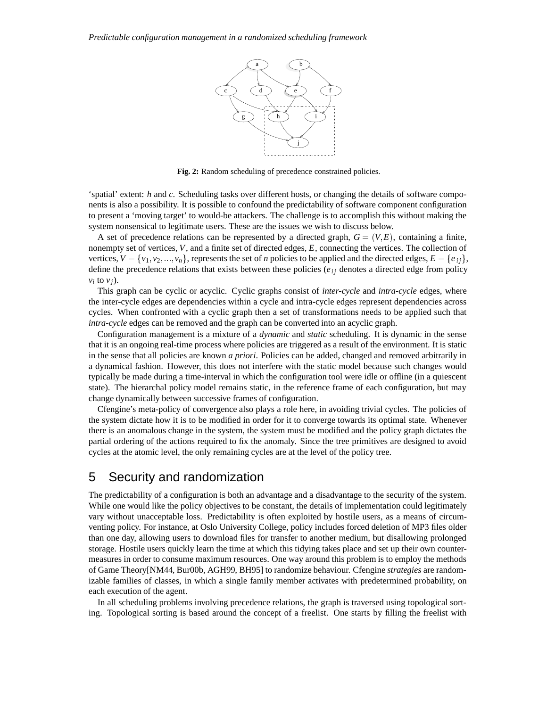

**Fig. 2:** Random scheduling of precedence constrained policies.

'spatial' extent: *h* and *c*. Scheduling tasks over different hosts, or changing the details of software components is also a possibility. It is possible to confound the predictability of software component configuration to present a 'moving target' to would-be attackers. The challenge is to accomplish this without making the system nonsensical to legitimate users. These are the issues we wish to discuss below.

A set of precedence relations can be represented by a directed graph,  $G = (V, E)$ , containing a finite, nonempty set of vertices, *V*, and a finite set of directed edges, *E*, connecting the vertices. The collection of vertices,  $V = \{v_1, v_2, \ldots, v_n\}$ , represents the set of *n* policies to be applied and the directed edges,  $E = \{e_i\}$ , define the precedence relations that exists between these policies ( $e_{ij}$  denotes a directed edge from policy  $v_i$  to  $v_j$ ).

This graph can be cyclic or acyclic. Cyclic graphs consist of *inter-cycle* and *intra-cycle* edges, where the inter-cycle edges are dependencies within a cycle and intra-cycle edges represent dependencies across cycles. When confronted with a cyclic graph then a set of transformations needs to be applied such that *intra-cycle* edges can be removed and the graph can be converted into an acyclic graph.

Configuration management is a mixture of a *dynamic* and *static* scheduling. It is dynamic in the sense that it is an ongoing real-time process where policies are triggered as a result of the environment. It is static in the sense that all policies are known *a priori*. Policies can be added, changed and removed arbitrarily in a dynamical fashion. However, this does not interfere with the static model because such changes would typically be made during a time-interval in which the configuration tool were idle or offline (in a quiescent state). The hierarchal policy model remains static, in the reference frame of each configuration, but may change dynamically between successive frames of configuration.

Cfengine's meta-policy of convergence also plays a role here, in avoiding trivial cycles. The policies of the system dictate how it is to be modified in order for it to converge towards its optimal state. Whenever there is an anomalous change in the system, the system must be modified and the policy graph dictates the partial ordering of the actions required to fix the anomaly. Since the tree primitives are designed to avoid cycles at the atomic level, the only remaining cycles are at the level of the policy tree.

### 5 Security and randomization

The predictability of a configuration is both an advantage and a disadvantage to the security of the system. While one would like the policy objectives to be constant, the details of implementation could legitimately vary without unacceptable loss. Predictability is often exploited by hostile users, as a means of circumventing policy. For instance, at Oslo University College, policy includes forced deletion of MP3 files older than one day, allowing users to download files for transfer to another medium, but disallowing prolonged storage. Hostile users quickly learn the time at which this tidying takes place and set up their own countermeasures in order to consume maximum resources. One way around this problem is to employ the methods of Game Theory[NM44, Bur00b, AGH99, BH95] to randomize behaviour. Cfengine *strategies* are randomizable families of classes, in which a single family member activates with predetermined probability, on each execution of the agent.

In all scheduling problems involving precedence relations, the graph is traversed using topological sorting. Topological sorting is based around the concept of a freelist. One starts by filling the freelist with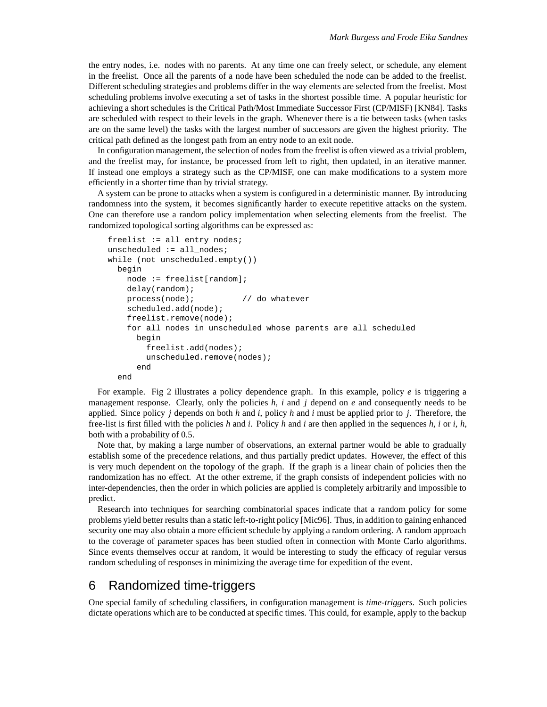the entry nodes, i.e. nodes with no parents. At any time one can freely select, or schedule, any element in the freelist. Once all the parents of a node have been scheduled the node can be added to the freelist. Different scheduling strategies and problems differ in the way elements are selected from the freelist. Most scheduling problems involve executing a set of tasks in the shortest possible time. A popular heuristic for achieving a short schedules is the Critical Path/Most Immediate Successor First (CP/MISF) [KN84]. Tasks are scheduled with respect to their levels in the graph. Whenever there is a tie between tasks (when tasks are on the same level) the tasks with the largest number of successors are given the highest priority. The critical path defined as the longest path from an entry node to an exit node.

In configuration management, the selection of nodes from the freelist is often viewed as a trivial problem, and the freelist may, for instance, be processed from left to right, then updated, in an iterative manner. If instead one employs a strategy such as the CP/MISF, one can make modifications to a system more efficiently in a shorter time than by trivial strategy.

A system can be prone to attacks when a system is configured in a deterministic manner. By introducing randomness into the system, it becomes significantly harder to execute repetitive attacks on the system. One can therefore use a random policy implementation when selecting elements from the freelist. The randomized topological sorting algorithms can be expressed as:

```
freelist := all_entry_nodes;
unscheduled := all_nodes;
while (not unscheduled.empty())
 begin
   node := freelist[random];
   delay(random);
   process(node); // do whatever
   scheduled.add(node);
   freelist.remove(node);
   for all nodes in unscheduled whose parents are all scheduled
     begin
       freelist.add(nodes);
       unscheduled.remove(nodes);
      end
  end
```
For example. Fig 2 illustrates a policy dependence graph. In this example, policy *e* is triggering a management response. Clearly, only the policies *h*, *i* and *j* depend on *e* and consequently needs to be applied. Since policy *j* depends on both *h* and *i*, policy *h* and *i* must be applied prior to *j*. Therefore, the free-list is first filled with the policies *h* and *i*. Policy *h* and *i* are then applied in the sequences *h*, *i* or *i*, *h*, both with a probability of 0.5.

Note that, by making a large number of observations, an external partner would be able to gradually establish some of the precedence relations, and thus partially predict updates. However, the effect of this is very much dependent on the topology of the graph. If the graph is a linear chain of policies then the randomization has no effect. At the other extreme, if the graph consists of independent policies with no inter-dependencies, then the order in which policies are applied is completely arbitrarily and impossible to predict.

Research into techniques for searching combinatorial spaces indicate that a random policy for some problems yield better results than a static left-to-right policy [Mic96]. Thus, in addition to gaining enhanced security one may also obtain a more efficient schedule by applying a random ordering. A random approach to the coverage of parameter spaces has been studied often in connection with Monte Carlo algorithms. Since events themselves occur at random, it would be interesting to study the efficacy of regular versus random scheduling of responses in minimizing the average time for expedition of the event.

## 6 Randomized time-triggers

One special family of scheduling classifiers, in configuration management is *time-triggers*. Such policies dictate operations which are to be conducted at specific times. This could, for example, apply to the backup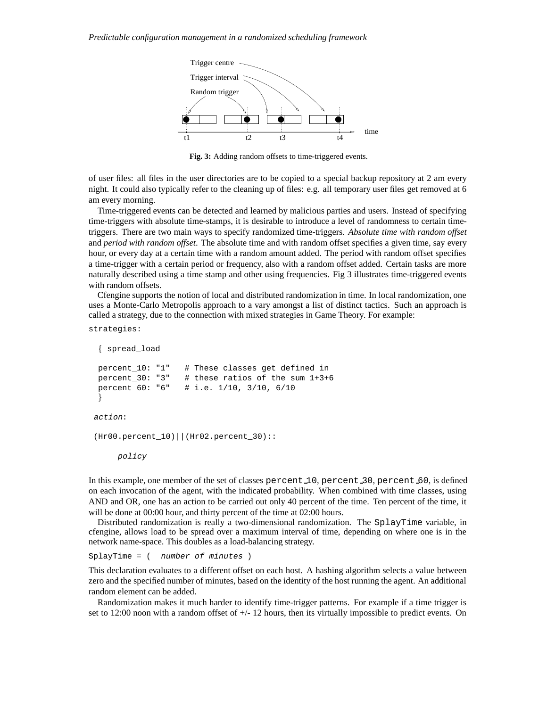

**Fig. 3:** Adding random offsets to time-triggered events.

of user files: all files in the user directories are to be copied to a special backup repository at 2 am every night. It could also typically refer to the cleaning up of files: e.g. all temporary user files get removed at 6 am every morning.

Time-triggered events can be detected and learned by malicious parties and users. Instead of specifying time-triggers with absolute time-stamps, it is desirable to introduce a level of randomness to certain timetriggers. There are two main ways to specify randomized time-triggers. *Absolute time with random offset* and *period with random offset*. The absolute time and with random offset specifies a given time, say every hour, or every day at a certain time with a random amount added. The period with random offset specifies a time-trigger with a certain period or frequency, also with a random offset added. Certain tasks are more naturally described using a time stamp and other using frequencies. Fig 3 illustrates time-triggered events with random offsets.

Cfengine supports the notion of local and distributed randomization in time. In local randomization, one uses a Monte-Carlo Metropolis approach to a vary amongst a list of distinct tactics. Such an approach is called a strategy, due to the connection with mixed strategies in Game Theory. For example:

strategies:

```
f spread_load
percent_10: "1" # These classes get defined in
percent_30: "3" # these ratios of the sum 1+3+6
percent_60: "6" # i.e. 1/10, 3/10, 6/10
 \}action:
(Hr00.percent_10)||(Hr02.percent_30)::
    policy
```
In this example, one member of the set of classes percent 10, percent 30, percent 60, is defined on each invocation of the agent, with the indicated probability. When combined with time classes, using AND and OR, one has an action to be carried out only 40 percent of the time. Ten percent of the time, it will be done at 00:00 hour, and thirty percent of the time at 02:00 hours.

Distributed randomization is really a two-dimensional randomization. The SplayTime variable, in cfengine, allows load to be spread over a maximum interval of time, depending on where one is in the network name-space. This doubles as a load-balancing strategy.

 $SplayTime = (number of minutes)$ 

This declaration evaluates to a different offset on each host. A hashing algorithm selects a value between zero and the specified number of minutes, based on the identity of the host running the agent. An additional random element can be added.

Randomization makes it much harder to identify time-trigger patterns. For example if a time trigger is set to 12:00 noon with a random offset of +/- 12 hours, then its virtually impossible to predict events. On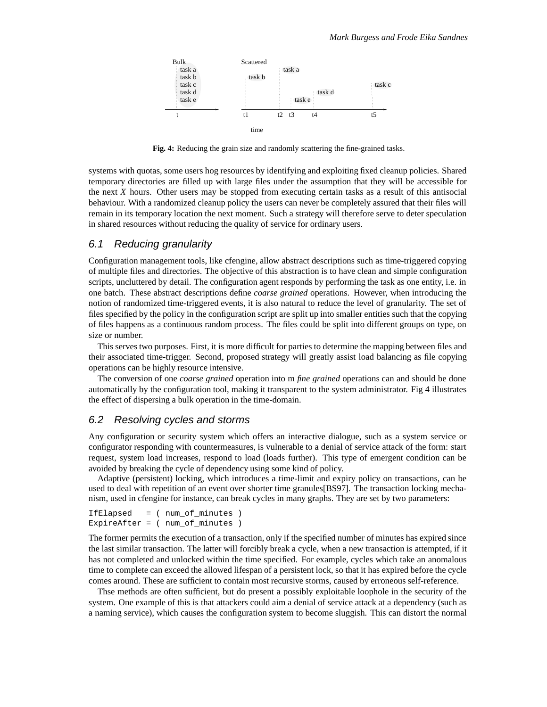

**Fig. 4:** Reducing the grain size and randomly scattering the fine-grained tasks.

systems with quotas, some users hog resources by identifying and exploiting fixed cleanup policies. Shared temporary directories are filled up with large files under the assumption that they will be accessible for the next *X* hours. Other users may be stopped from executing certain tasks as a result of this antisocial behaviour. With a randomized cleanup policy the users can never be completely assured that their files will remain in its temporary location the next moment. Such a strategy will therefore serve to deter speculation in shared resources without reducing the quality of service for ordinary users.

#### 6.1 Reducing granularity

Configuration management tools, like cfengine, allow abstract descriptions such as time-triggered copying of multiple files and directories. The objective of this abstraction is to have clean and simple configuration scripts, uncluttered by detail. The configuration agent responds by performing the task as one entity, i.e. in one batch. These abstract descriptions define *coarse grained* operations. However, when introducing the notion of randomized time-triggered events, it is also natural to reduce the level of granularity. The set of files specified by the policy in the configuration script are split up into smaller entities such that the copying of files happens as a continuous random process. The files could be split into different groups on type, on size or number.

This serves two purposes. First, it is more difficult for parties to determine the mapping between files and their associated time-trigger. Second, proposed strategy will greatly assist load balancing as file copying operations can be highly resource intensive.

The conversion of one *coarse grained* operation into m *fine grained* operations can and should be done automatically by the configuration tool, making it transparent to the system administrator. Fig 4 illustrates the effect of dispersing a bulk operation in the time-domain.

#### 6.2 Resolving cycles and storms

Any configuration or security system which offers an interactive dialogue, such as a system service or configurator responding with countermeasures, is vulnerable to a denial of service attack of the form: start request, system load increases, respond to load (loads further). This type of emergent condition can be avoided by breaking the cycle of dependency using some kind of policy.

Adaptive (persistent) locking, which introduces a time-limit and expiry policy on transactions, can be used to deal with repetition of an event over shorter time granules[BS97]. The transaction locking mechanism, used in cfengine for instance, can break cycles in many graphs. They are set by two parameters:

```
IfElapsed = ( num_of_minutes )
ExpireAfter = ( num_of_minutes )
```
The former permits the execution of a transaction, only if the specified number of minutes has expired since the last similar transaction. The latter will forcibly break a cycle, when a new transaction is attempted, if it has not completed and unlocked within the time specified. For example, cycles which take an anomalous time to complete can exceed the allowed lifespan of a persistent lock, so that it has expired before the cycle comes around. These are sufficient to contain most recursive storms, caused by erroneous self-reference.

Thse methods are often sufficient, but do present a possibly exploitable loophole in the security of the system. One example of this is that attackers could aim a denial of service attack at a dependency (such as a naming service), which causes the configuration system to become sluggish. This can distort the normal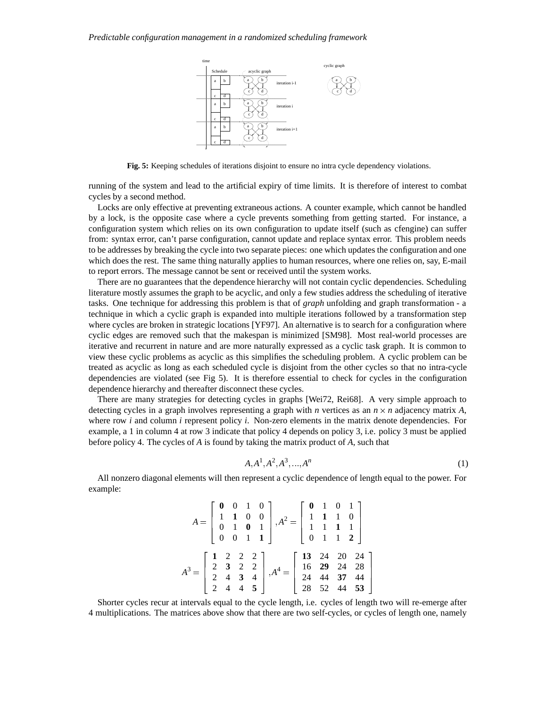

**Fig. 5:** Keeping schedules of iterations disjoint to ensure no intra cycle dependency violations.

running of the system and lead to the artificial expiry of time limits. It is therefore of interest to combat cycles by a second method.

Locks are only effective at preventing extraneous actions. A counter example, which cannot be handled by a lock, is the opposite case where a cycle prevents something from getting started. For instance, a configuration system which relies on its own configuration to update itself (such as cfengine) can suffer from: syntax error, can't parse configuration, cannot update and replace syntax error. This problem needs to be addresses by breaking the cycle into two separate pieces: one which updates the configuration and one which does the rest. The same thing naturally applies to human resources, where one relies on, say, E-mail to report errors. The message cannot be sent or received until the system works.

There are no guarantees that the dependence hierarchy will not contain cyclic dependencies. Scheduling literature mostly assumes the graph to be acyclic, and only a few studies address the scheduling of iterative tasks. One technique for addressing this problem is that of *graph* unfolding and graph transformation - a technique in which a cyclic graph is expanded into multiple iterations followed by a transformation step where cycles are broken in strategic locations [YF97]. An alternative is to search for a configuration where cyclic edges are removed such that the makespan is minimized [SM98]. Most real-world processes are iterative and recurrent in nature and are more naturally expressed as a cyclic task graph. It is common to view these cyclic problems as acyclic as this simplifies the scheduling problem. A cyclic problem can be treated as acyclic as long as each scheduled cycle is disjoint from the other cycles so that no intra-cycle dependencies are violated (see Fig 5). It is therefore essential to check for cycles in the configuration dependence hierarchy and thereafter disconnect these cycles.

There are many strategies for detecting cycles in graphs [Wei72, Rei68]. A very simple approach to detecting cycles in a graph involves representing a graph with *n* vertices as an  $n \times n$  adjacency matrix *A*, where row *i* and column *i* represent policy *i*. Non-zero elements in the matrix denote dependencies. For example, a 1 in column 4 at row 3 indicate that policy 4 depends on policy 3, i.e. policy 3 must be applied before policy 4. The cycles of *A* is found by taking the matrix product of *A*, such that

$$
A, A^1, A^2, A^3, \dots, A^n \tag{1}
$$

All nonzero diagonal elements will then represent a cyclic dependence of length equal to the power. For example:

|  |  | $A = \begin{bmatrix} 0 & 0 & 1 & 0 \\ 1 & 1 & 0 & 0 \\ 0 & 1 & 0 & 1 \\ 0 & 0 & 1 & 1 \end{bmatrix}, A^2 = \begin{bmatrix} 0 & 1 & 0 & 1 \\ 1 & 1 & 1 & 0 \\ 1 & 1 & 1 & 1 \\ 0 & 1 & 1 & 2 \end{bmatrix}$                   |  |  |  |
|--|--|------------------------------------------------------------------------------------------------------------------------------------------------------------------------------------------------------------------------------|--|--|--|
|  |  | $A^3 = \begin{bmatrix} 1 & 2 & 2 & 2 \\ 2 & 3 & 2 & 2 \\ 2 & 4 & 3 & 4 \\ 2 & 4 & 4 & 5 \end{bmatrix}, A^4 = \begin{bmatrix} 13 & 24 & 20 & 24 \\ 16 & 29 & 24 & 28 \\ 24 & 44 & 37 & 44 \\ 28 & 52 & 44 & 53 \end{bmatrix}$ |  |  |  |

Shorter cycles recur at intervals equal to the cycle length, i.e. cycles of length two will re-emerge after 4 multiplications. The matrices above show that there are two self-cycles, or cycles of length one, namely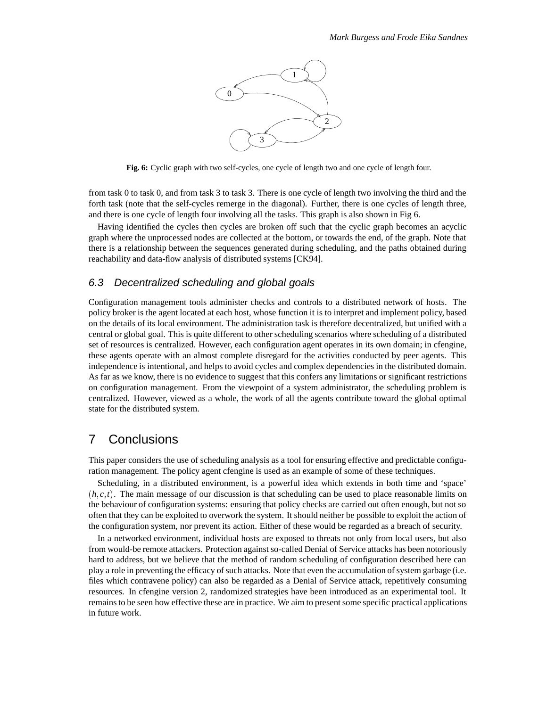

**Fig. 6:** Cyclic graph with two self-cycles, one cycle of length two and one cycle of length four.

from task 0 to task 0, and from task 3 to task 3. There is one cycle of length two involving the third and the forth task (note that the self-cycles remerge in the diagonal). Further, there is one cycles of length three, and there is one cycle of length four involving all the tasks. This graph is also shown in Fig 6.

Having identified the cycles then cycles are broken off such that the cyclic graph becomes an acyclic graph where the unprocessed nodes are collected at the bottom, or towards the end, of the graph. Note that there is a relationship between the sequences generated during scheduling, and the paths obtained during reachability and data-flow analysis of distributed systems [CK94].

#### 6.3 Decentralized scheduling and global goals

Configuration management tools administer checks and controls to a distributed network of hosts. The policy broker is the agent located at each host, whose function it is to interpret and implement policy, based on the details of its local environment. The administration task is therefore decentralized, but unified with a central or global goal. This is quite different to other scheduling scenarios where scheduling of a distributed set of resources is centralized. However, each configuration agent operates in its own domain; in cfengine, these agents operate with an almost complete disregard for the activities conducted by peer agents. This independence is intentional, and helps to avoid cycles and complex dependencies in the distributed domain. As far as we know, there is no evidence to suggest that this confers any limitations or significant restrictions on configuration management. From the viewpoint of a system administrator, the scheduling problem is centralized. However, viewed as a whole, the work of all the agents contribute toward the global optimal state for the distributed system.

#### 7 Conclusions

This paper considers the use of scheduling analysis as a tool for ensuring effective and predictable configuration management. The policy agent cfengine is used as an example of some of these techniques.

Scheduling, in a distributed environment, is a powerful idea which extends in both time and 'space'  $(h, c, t)$ . The main message of our discussion is that scheduling can be used to place reasonable limits on the behaviour of configuration systems: ensuring that policy checks are carried out often enough, but not so often that they can be exploited to overwork the system. It should neither be possible to exploit the action of the configuration system, nor prevent its action. Either of these would be regarded as a breach of security.

In a networked environment, individual hosts are exposed to threats not only from local users, but also from would-be remote attackers. Protection against so-called Denial of Service attacks has been notoriously hard to address, but we believe that the method of random scheduling of configuration described here can play a role in preventing the efficacy of such attacks. Note that even the accumulation of system garbage (i.e. files which contravene policy) can also be regarded as a Denial of Service attack, repetitively consuming resources. In cfengine version 2, randomized strategies have been introduced as an experimental tool. It remains to be seen how effective these are in practice. We aim to present some specific practical applications in future work.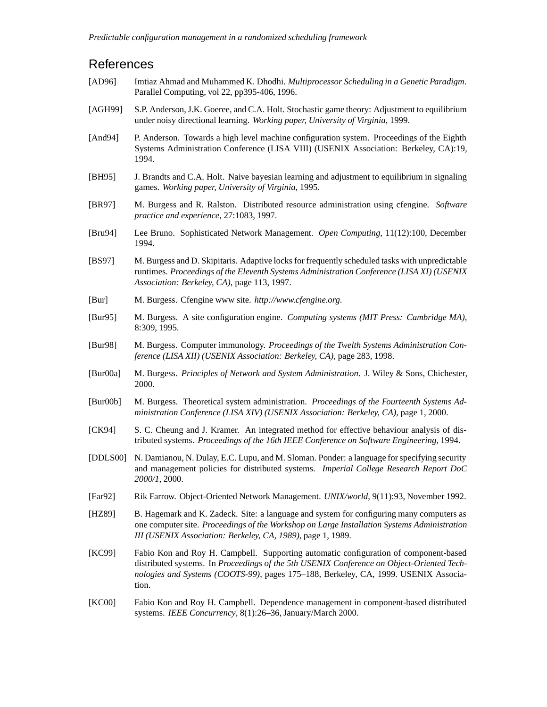## References

- [AD96] Imtiaz Ahmad and Muhammed K. Dhodhi. *Multiprocessor Scheduling in a Genetic Paradigm*. Parallel Computing, vol 22, pp395-406, 1996.
- [AGH99] S.P. Anderson, J.K. Goeree, and C.A. Holt. Stochastic game theory: Adjustment to equilibrium under noisy directional learning. *Working paper, University of Virginia*, 1999.
- [And94] P. Anderson. Towards a high level machine configuration system. Proceedings of the Eighth Systems Administration Conference (LISA VIII) (USENIX Association: Berkeley, CA):19, 1994.
- [BH95] J. Brandts and C.A. Holt. Naive bayesian learning and adjustment to equilibrium in signaling games. *Working paper, University of Virginia*, 1995.
- [BR97] M. Burgess and R. Ralston. Distributed resource administration using cfengine. *Software practice and experience*, 27:1083, 1997.
- [Bru94] Lee Bruno. Sophisticated Network Management. *Open Computing*, 11(12):100, December 1994.
- [BS97] M. Burgess and D. Skipitaris. Adaptive locks for frequently scheduled tasks with unpredictable runtimes. *Proceedings of the Eleventh Systems Administration Conference (LISA XI) (USENIX Association: Berkeley, CA)*, page 113, 1997.
- [Bur] M. Burgess. Cfengine www site. *http://www.cfengine.org*.
- [Bur95] M. Burgess. A site configuration engine. *Computing systems (MIT Press: Cambridge MA)*, 8:309, 1995.
- [Bur98] M. Burgess. Computer immunology. *Proceedings of the Twelth Systems Administration Conference (LISA XII) (USENIX Association: Berkeley, CA)*, page 283, 1998.
- [Bur00a] M. Burgess. *Principles of Network and System Administration*. J. Wiley & Sons, Chichester, 2000.
- [Bur00b] M. Burgess. Theoretical system administration. *Proceedings of the Fourteenth Systems Administration Conference (LISA XIV) (USENIX Association: Berkeley, CA)*, page 1, 2000.
- [CK94] S. C. Cheung and J. Kramer. An integrated method for effective behaviour analysis of distributed systems. *Proceedings of the 16th IEEE Conference on Software Engineering*, 1994.
- [DDLS00] N. Damianou, N. Dulay, E.C. Lupu, and M. Sloman. Ponder: a language for specifying security and management policies for distributed systems. *Imperial College Research Report DoC 2000/1*, 2000.
- [Far92] Rik Farrow. Object-Oriented Network Management. *UNIX/world*, 9(11):93, November 1992.
- [HZ89] B. Hagemark and K. Zadeck. Site: a language and system for configuring many computers as one computer site. *Proceedings of the Workshop on Large Installation Systems Administration III (USENIX Association: Berkeley, CA, 1989)*, page 1, 1989.
- [KC99] Fabio Kon and Roy H. Campbell. Supporting automatic configuration of component-based distributed systems. In *Proceedings of the 5th USENIX Conference on Object-Oriented Technologies and Systems (COOTS-99)*, pages 175–188, Berkeley, CA, 1999. USENIX Association.
- [KC00] Fabio Kon and Roy H. Campbell. Dependence management in component-based distributed systems. *IEEE Concurrency*, 8(1):26–36, January/March 2000.